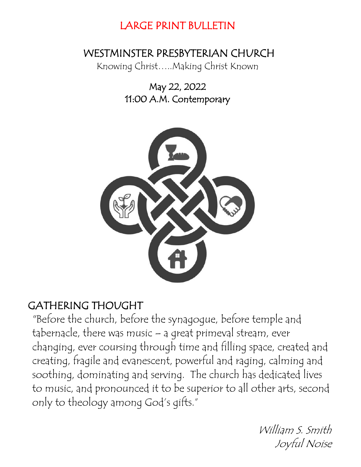# LARGE PRINT BULLETIN

# WESTMINSTER PRESBYTERIAN CHURCH

Knowing Christ…..Making Christ Known

May 22, 2022 11:00 A.M. Contemporary



# GATHERING THOUGHT

"Before the church, before the synagogue, before temple and tabernacle, there was music – a great primeval stream, ever changing, ever coursing through time and filling space, created and creating, fragile and evanescent, powerful and raging, calming and soothing, dominating and serving. The church has dedicated lives to music, and pronounced it to be superior to all other arts, second only to theology among God's gifts."

> William S. Smith Joyful Noise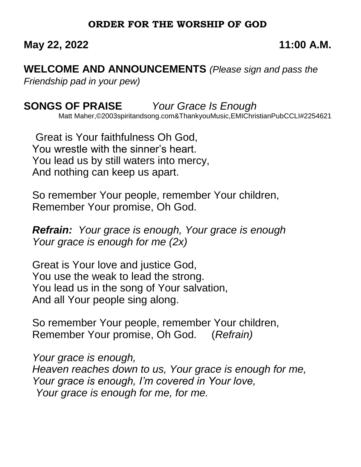## **ORDER FOR THE WORSHIP OF GOD**

## **May 22, 2022 11:00 A.M.**

**WELCOME AND ANNOUNCEMENTS** *(Please sign and pass the Friendship pad in your pew)*

**SONGS OF PRAISE** *Your Grace Is Enough*

Matt Maher,©2003spiritandsong.com&ThankyouMusic,EMIChristianPubCCLI#2254621

 Great is Your faithfulness Oh God, You wrestle with the sinner's heart. You lead us by still waters into mercy, And nothing can keep us apart.

So remember Your people, remember Your children, Remember Your promise, Oh God.

*Refrain: Your grace is enough, Your grace is enough Your grace is enough for me (2x)*

Great is Your love and justice God, You use the weak to lead the strong. You lead us in the song of Your salvation, And all Your people sing along.

So remember Your people, remember Your children, Remember Your promise, Oh God. (*Refrain)*

*Your grace is enough, Heaven reaches down to us, Your grace is enough for me, Your grace is enough, I'm covered in Your love, Your grace is enough for me, for me.*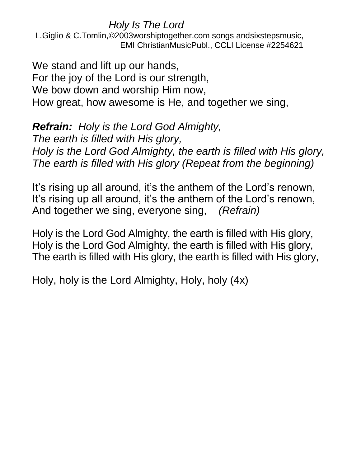*Holy Is The Lord* 

 L.Giglio & C.Tomlin,©2003worshiptogether.com songs andsixstepsmusic, EMI ChristianMusicPubl., CCLI License #2254621

We stand and lift up our hands, For the joy of the Lord is our strength, We bow down and worship Him now, How great, how awesome is He, and together we sing,

*Refrain: Holy is the Lord God Almighty, The earth is filled with His glory, Holy is the Lord God Almighty, the earth is filled with His glory, The earth is filled with His glory (Repeat from the beginning)*

It's rising up all around, it's the anthem of the Lord's renown, It's rising up all around, it's the anthem of the Lord's renown, And together we sing, everyone sing, *(Refrain)*

Holy is the Lord God Almighty, the earth is filled with His glory, Holy is the Lord God Almighty, the earth is filled with His glory, The earth is filled with His glory, the earth is filled with His glory,

Holy, holy is the Lord Almighty, Holy, holy (4x)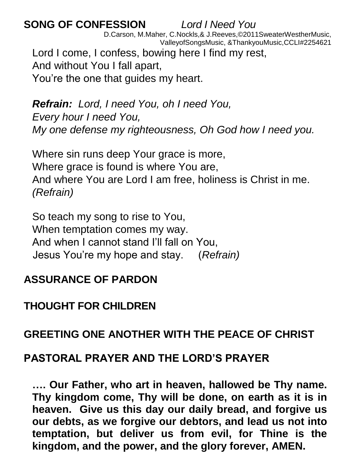# **SONG OF CONFESSION** *Lord I Need You*

 D.Carson, M.Maher, C.Nockls,& J.Reeves,©2011SweaterWestherMusic, ValleyofSongsMusic, &ThankyouMusic,CCLI#2254621 Lord I come, I confess, bowing here I find my rest,

And without You I fall apart,

You're the one that guides my heart.

*Refrain: Lord, I need You, oh I need You, Every hour I need You, My one defense my righteousness, Oh God how I need you.*

Where sin runs deep Your grace is more, Where grace is found is where You are, And where You are Lord I am free, holiness is Christ in me. *(Refrain)*

So teach my song to rise to You, When temptation comes my way. And when I cannot stand I'll fall on You, Jesus You're my hope and stay. (*Refrain)*

# **ASSURANCE OF PARDON**

# **THOUGHT FOR CHILDREN**

# **GREETING ONE ANOTHER WITH THE PEACE OF CHRIST**

# **PASTORAL PRAYER AND THE LORD'S PRAYER**

**…. Our Father, who art in heaven, hallowed be Thy name. Thy kingdom come, Thy will be done, on earth as it is in heaven. Give us this day our daily bread, and forgive us our debts, as we forgive our debtors, and lead us not into temptation, but deliver us from evil, for Thine is the kingdom, and the power, and the glory forever, AMEN.**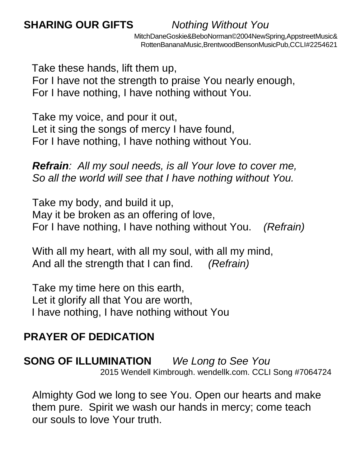MitchDaneGoskie&BeboNorman©2004NewSpring,AppstreetMusic& RottenBananaMusic,BrentwoodBensonMusicPub,CCLI#2254621

Take these hands, lift them up,

For I have not the strength to praise You nearly enough, For I have nothing, I have nothing without You.

Take my voice, and pour it out, Let it sing the songs of mercy I have found, For I have nothing, I have nothing without You.

*Refrain: All my soul needs, is all Your love to cover me, So all the world will see that I have nothing without You.*

Take my body, and build it up, May it be broken as an offering of love, For I have nothing, I have nothing without You. *(Refrain)*

With all my heart, with all my soul, with all my mind, And all the strength that I can find. *(Refrain)*

Take my time here on this earth, Let it glorify all that You are worth, I have nothing, I have nothing without You

# **PRAYER OF DEDICATION**

**SONG OF ILLUMINATION** *We Long to See You*  2015 Wendell Kimbrough. wendellk.com. CCLI Song #7064724

Almighty God we long to see You. Open our hearts and make them pure. Spirit we wash our hands in mercy; come teach our souls to love Your truth.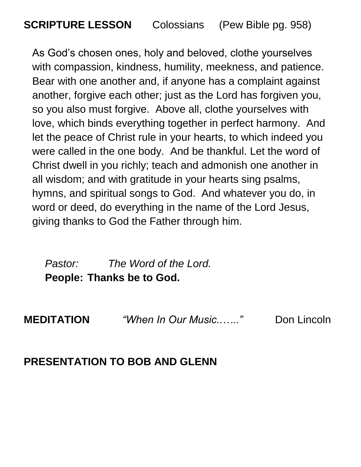**SCRIPTURE LESSON** Colossians (Pew Bible pg. 958)

As God's chosen ones, holy and beloved, clothe yourselves with compassion, kindness, humility, meekness, and patience. Bear with one another and, if anyone has a complaint against another, forgive each other; just as the Lord has forgiven you, so you also must forgive. Above all, clothe yourselves with love, which binds everything together in perfect harmony. And let the peace of Christ rule in your hearts, to which indeed you were called in the one body. And be thankful. Let the word of Christ dwell in you richly; teach and admonish one another in all wisdom; and with gratitude in your hearts sing psalms, hymns, and spiritual songs to God. And whatever you do, in word or deed, do everything in the name of the Lord Jesus, giving thanks to God the Father through him.

*Pastor: The Word of the Lord.* **People: Thanks be to God.**

**MEDITATION** *"When In Our Music..….."* Don Lincoln

## **PRESENTATION TO BOB AND GLENN**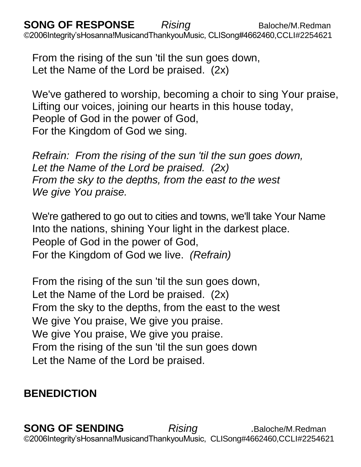**SONG OF RESPONSE** Rising **Baloche/M.Redman** ©2006Integrity'sHosanna!MusicandThankyouMusic, CLISong#4662460,CCLI#2254621

From the rising of the sun 'til the sun goes down, Let the Name of the Lord be praised. (2x)

We've gathered to worship, becoming a choir to sing Your praise, Lifting our voices, joining our hearts in this house today, People of God in the power of God, For the Kingdom of God we sing.

*Refrain: From the rising of the sun 'til the sun goes down, Let the Name of the Lord be praised. (2x) From the sky to the depths, from the east to the west We give You praise.*

We're gathered to go out to cities and towns, we'll take Your Name Into the nations, shining Your light in the darkest place. People of God in the power of God, For the Kingdom of God we live. *(Refrain)*

From the rising of the sun 'til the sun goes down, Let the Name of the Lord be praised. (2x) From the sky to the depths, from the east to the west We give You praise, We give you praise. We give You praise, We give you praise. From the rising of the sun 'til the sun goes down Let the Name of the Lord be praised.

# **BENEDICTION**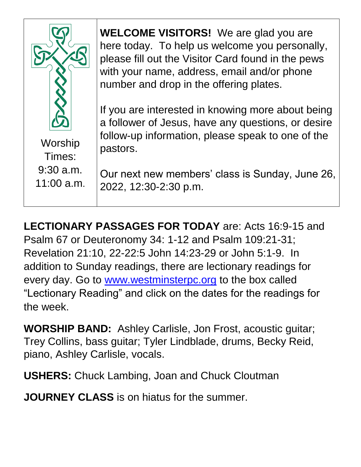

**WELCOME VISITORS!** We are glad you are here today. To help us welcome you personally, please fill out the Visitor Card found in the pews with your name, address, email and/or phone number and drop in the offering plates.

If you are interested in knowing more about being a follower of Jesus, have any questions, or desire follow-up information, please speak to one of the pastors.

Our next new members' class is Sunday, June 26, 2022, 12:30-2:30 p.m.

**LECTIONARY PASSAGES FOR TODAY** are: Acts 16:9-15 and Psalm 67 or Deuteronomy 34: 1-12 and Psalm 109:21-31; Revelation 21:10, 22-22:5 John 14:23-29 or John 5:1-9. In addition to Sunday readings, there are lectionary readings for every day. Go to [www.westminsterpc.org](http://www.westminsterpc.org/) to the box called "Lectionary Reading" and click on the dates for the readings for the week.

**WORSHIP BAND:** Ashley Carlisle, Jon Frost, acoustic guitar; Trey Collins, bass guitar; Tyler Lindblade, drums, Becky Reid, piano, Ashley Carlisle, vocals.

**USHERS:** Chuck Lambing, Joan and Chuck Cloutman

**JOURNEY CLASS** is on hiatus for the summer.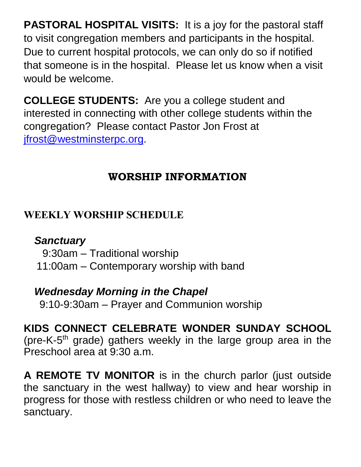**PASTORAL HOSPITAL VISITS:** It is a joy for the pastoral staff to visit congregation members and participants in the hospital. Due to current hospital protocols, we can only do so if notified that someone is in the hospital. Please let us know when a visit would be welcome.

**COLLEGE STUDENTS:** Are you a college student and interested in connecting with other college students within the congregation? Please contact Pastor Jon Frost at [jfrost@westminsterpc.org.](mailto:jfrost@westminsterpc.org)

# **WORSHIP INFORMATION**

# **WEEKLY WORSHIP SCHEDULE**

# *Sanctuary*

9:30am – Traditional worship

11:00am – Contemporary worship with band

# *Wednesday Morning in the Chapel*

9:10-9:30am – Prayer and Communion worship

**KIDS CONNECT CELEBRATE WONDER SUNDAY SCHOOL** (pre-K-5<sup>th</sup> grade) gathers weekly in the large group area in the Preschool area at 9:30 a.m.

**A REMOTE TV MONITOR** is in the church parlor (just outside the sanctuary in the west hallway) to view and hear worship in progress for those with restless children or who need to leave the sanctuary.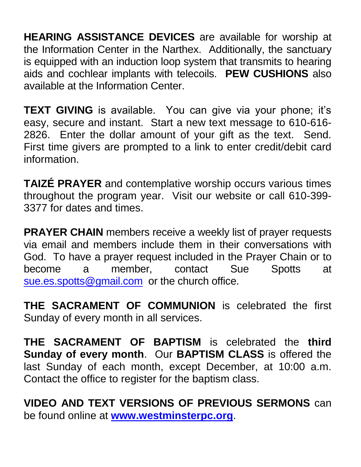**HEARING ASSISTANCE DEVICES** are available for worship at the Information Center in the Narthex. Additionally, the sanctuary is equipped with an induction loop system that transmits to hearing aids and cochlear implants with telecoils. **PEW CUSHIONS** also available at the Information Center.

**TEXT GIVING** is available. You can give via your phone; it's easy, secure and instant. Start a new text message to 610-616- 2826. Enter the dollar amount of your gift as the text. Send. First time givers are prompted to a link to enter credit/debit card information.

**TAIZÉ PRAYER** and contemplative worship occurs various times throughout the program year. Visit our website or call 610-399- 3377 for dates and times.

**PRAYER CHAIN** members receive a weekly list of prayer requests via email and members include them in their conversations with God. To have a prayer request included in the Prayer Chain or to become a member, contact Sue Spotts at [sue.es.spotts@gmail.com](mailto:sue.es.spotts@gmail.com) or the church office.

**THE SACRAMENT OF COMMUNION** is celebrated the first Sunday of every month in all services.

**THE SACRAMENT OF BAPTISM** is celebrated the **third Sunday of every month**. Our **BAPTISM CLASS** is offered the last Sunday of each month, except December, at 10:00 a.m. Contact the office to register for the baptism class.

**VIDEO AND TEXT VERSIONS OF PREVIOUS SERMONS** can be found online at **[www.westminsterpc.org](http://www.westminsterpc.org/)**.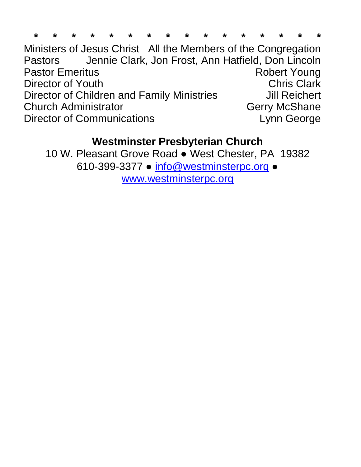|  |  |  |  |  |  | * * * * * * * * * * * * * * * * |  |  |
|--|--|--|--|--|--|---------------------------------|--|--|
|  |  |  |  |  |  |                                 |  |  |

Ministers of Jesus Christ All the Members of the Congregation Pastors Jennie Clark, Jon Frost, Ann Hatfield, Don Lincoln Pastor Emeritus **Robert Young** Director of Youth **Chris Clark** Director of Children and Family Ministries **Jill Reichert** Church Administrator Church Administrator Church Administrator Director of Communications **Lynn** George

## **Westminster Presbyterian Church**

10 W. Pleasant Grove Road ● West Chester, PA 19382 610-399-3377 ● [info@westminsterpc.org](mailto:info@westminsterpc.org) ● [www.westminsterpc.org](http://www.westminsterpc.org/)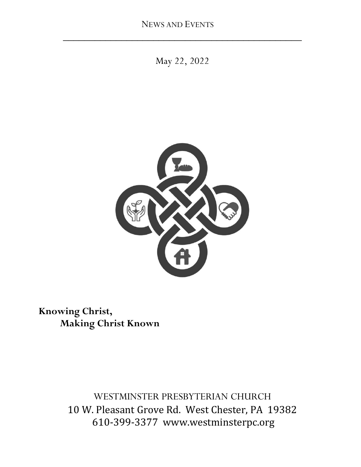May 22, 2022

**\_\_\_\_\_\_\_\_\_\_\_\_\_\_\_\_\_\_\_\_\_\_\_\_\_\_\_\_\_\_\_\_\_\_\_\_\_\_\_\_\_\_\_\_\_**



 **Knowing Christ, Making Christ Known**

> WESTMINSTER PRESBYTERIAN CHURCH 10 W. Pleasant Grove Rd. West Chester, PA 19382 610-399-3377 www.westminsterpc.org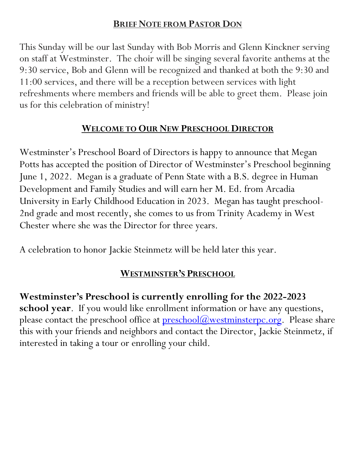#### **BRIEF NOTE FROM PASTOR DON**

This Sunday will be our last Sunday with Bob Morris and Glenn Kinckner serving on staff at Westminster. The choir will be singing several favorite anthems at the 9:30 service, Bob and Glenn will be recognized and thanked at both the 9:30 and 11:00 services, and there will be a reception between services with light refreshments where members and friends will be able to greet them. Please join us for this celebration of ministry!

## **WELCOME TO OUR NEW PRESCHOOL DIRECTOR**

Westminster's Preschool Board of Directors is happy to announce that Megan Potts has accepted the position of Director of Westminster's Preschool beginning June 1, 2022. Megan is a graduate of Penn State with a B.S. degree in Human Development and Family Studies and will earn her M. Ed. from Arcadia University in Early Childhood Education in 2023. Megan has taught preschool-2nd grade and most recently, she comes to us from Trinity Academy in West Chester where she was the Director for three years.

A celebration to honor Jackie Steinmetz will be held later this year.

# **WESTMINSTER'S PRESCHOOL**

**Westminster's Preschool is currently enrolling for the 2022-2023 school year**. If you would like enrollment information or have any questions, please contact the preschool office at  $preschool(*a*)<sub>westminsterpc.org</sub>. Please share$ </u> this with your friends and neighbors and contact the Director, Jackie Steinmetz, if interested in taking a tour or enrolling your child.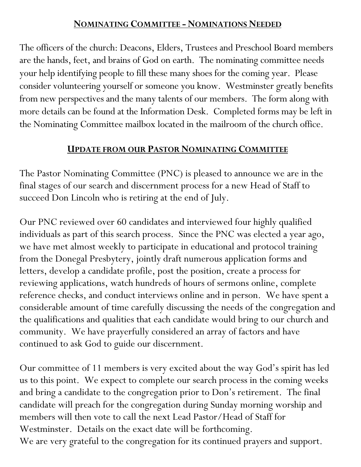## **NOMINATING COMMITTEE - NOMINATIONS NEEDED**

The officers of the church: Deacons, Elders, Trustees and Preschool Board members are the hands, feet, and brains of God on earth. The nominating committee needs your help identifying people to fill these many shoes for the coming year. Please consider volunteering yourself or someone you know. Westminster greatly benefits from new perspectives and the many talents of our members. The form along with more details can be found at the Information Desk. Completed forms may be left in the Nominating Committee mailbox located in the mailroom of the church office.

## **UPDATE FROM OUR PASTOR NOMINATING COMMITTEE**

The Pastor Nominating Committee (PNC) is pleased to announce we are in the final stages of our search and discernment process for a new Head of Staff to succeed Don Lincoln who is retiring at the end of July.

Our PNC reviewed over 60 candidates and interviewed four highly qualified individuals as part of this search process. Since the PNC was elected a year ago, we have met almost weekly to participate in educational and protocol training from the Donegal Presbytery, jointly draft numerous application forms and letters, develop a candidate profile, post the position, create a process for reviewing applications, watch hundreds of hours of sermons online, complete reference checks, and conduct interviews online and in person. We have spent a considerable amount of time carefully discussing the needs of the congregation and the qualifications and qualities that each candidate would bring to our church and community. We have prayerfully considered an array of factors and have continued to ask God to guide our discernment.

Our committee of 11 members is very excited about the way God's spirit has led us to this point. We expect to complete our search process in the coming weeks and bring a candidate to the congregation prior to Don's retirement. The final candidate will preach for the congregation during Sunday morning worship and members will then vote to call the next Lead Pastor/Head of Staff for Westminster. Details on the exact date will be forthcoming. We are very grateful to the congregation for its continued prayers and support.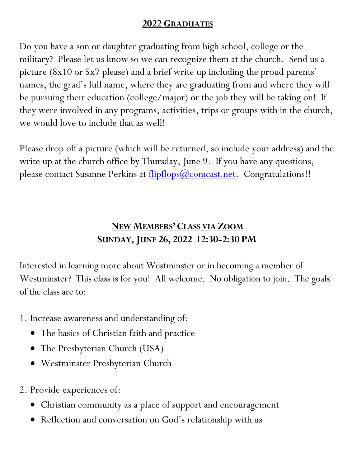## **2022 GRADUATES**

Do you have a son or daughter graduating from high school, college or the military? Please let us know so we can recognize them at the church. Send us a picture (8x10 or 5x7 please) and a brief write up including the proud parents' names, the grad's full name, where they are graduating from and where they will be pursuing their education (college/major) or the job they will be taking on! If they were involved in any programs, activities, trips or groups with in the church, we would love to include that as well!

Please drop off a picture (which will be returned, so include your address) and the write up at the church office by Thursday, June 9. If you have any questions, please contact Susanne Perkins at <u>flipflops(a)comcast.net</u>. Congratulations!!

# **NEW MEMBERS'CLASS VIA ZOOM SUNDAY,JUNE 26, 2022 12:30-2:30 PM**

Interested in learning more about Westminster or in becoming a member of Westminster? This class is for you! All welcome. No obligation to join. The goals of the class are to:

- 1. Increase awareness and understanding of:
	- The basics of Christian faith and practice
	- The Presbyterian Church (USA)
	- Westminster Presbyterian Church
- 2. Provide experiences of:
	- Christian community as a place of support and encouragement
	- Reflection and conversation on God's relationship with us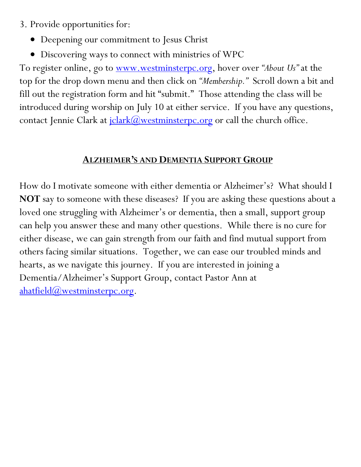- 3. Provide opportunities for:
	- Deepening our commitment to Jesus Christ
	- Discovering ways to connect with ministries of WPC

To register online, go to [www.westminsterpc.org,](http://www.westminsterpc.org/) hover over *"About Us"* at the top for the drop down menu and then click on *"Membership."* Scroll down a bit and fill out the registration form and hit "submit." Those attending the class will be introduced during worship on July 10 at either service. If you have any questions, contact Jennie Clark at  $\frac{\text{left}(Q)\text{westminsterpc.org}}{\text{right}(Q)}$  or call the church office.

## **ALZHEIMER'S AND DEMENTIA SUPPORT GROUP**

How do I motivate someone with either dementia or Alzheimer's? What should I **NOT** say to someone with these diseases? If you are asking these questions about a loved one struggling with Alzheimer's or dementia, then a small, support group can help you answer these and many other questions. While there is no cure for either disease, we can gain strength from our faith and find mutual support from others facing similar situations. Together, we can ease our troubled minds and hearts, as we navigate this journey. If you are interested in joining a Dementia/Alzheimer's Support Group, contact Pastor Ann at [ahatfield@westminsterpc.org.](mailto:ahatfield@westminsterpc.org)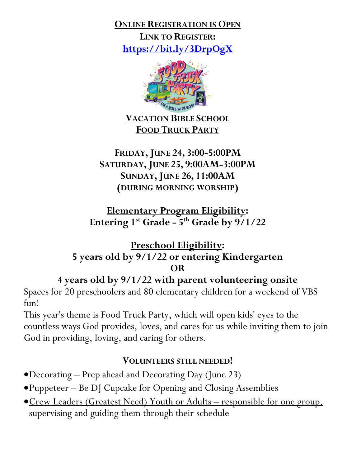**ONLINE REGISTRATION IS OPEN LINK TO REGISTER: <https://bit.ly/3DrpOgX>**



**VACATION BIBLE SCHOOL FOOD TRUCK PARTY**

## **FRIDAY,JUNE 24, 3:00-5:00PM SATURDAY,JUNE 25, 9:00AM-3:00PM SUNDAY,JUNE 26, 11:00AM (DURING MORNING WORSHIP)**

**Elementary Program Eligibility: Entering 1st Grade - 5 th Grade by 9/1/22**

## **Preschool Eligibility: 5 years old by 9/1/22 or entering Kindergarten OR**

**4 years old by 9/1/22 with parent volunteering onsite**

Spaces for 20 preschoolers and 80 elementary children for a weekend of VBS fun!

This year's theme is Food Truck Party, which will open kids' eyes to the countless ways God provides, loves, and cares for us while inviting them to join God in providing, loving, and caring for others.

## **VOLUNTEERS STILL NEEDED!**

- Decorating Prep ahead and Decorating Day (June 23)
- Puppeteer Be DJ Cupcake for Opening and Closing Assemblies
- **Crew Leaders (Greatest Need) Youth or Adults responsible for one group,** supervising and guiding them through their schedule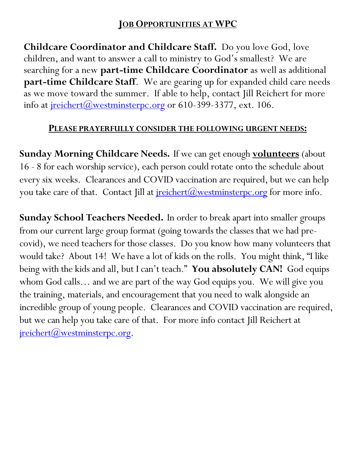## **JOB OPPORTUNITIES AT WPC**

**Childcare Coordinator and Childcare Staff.** Do you love God, love children, and want to answer a call to ministry to God's smallest? We are searching for a new **part-time Childcare Coordinator** as well as additional **part-time Childcare Staff**. We are gearing up for expanded child care needs as we move toward the summer. If able to help, contact Jill Reichert for more info at  $\text{reichert}(\omega)$  westminsterpc.org</u> or 610-399-3377, ext. 106.

## **PLEASE PRAYERFULLY CONSIDER THE FOLLOWING URGENT NEEDS:**

**Sunday Morning Childcare Needs.** If we can get enough **volunteers** (about 16 - 8 for each worship service), each person could rotate onto the schedule about every six weeks. Clearances and COVID vaccination are required, but we can help you take care of that. Contact Jill at  $\frac{\text{reichert}(a)}{\text{westminsterpc.org}}$  for more info.

**Sunday School Teachers Needed.** In order to break apart into smaller groups from our current large group format (going towards the classes that we had precovid), we need teachers for those classes. Do you know how many volunteers that would take? About 14! We have a lot of kids on the rolls. You might think, "I like being with the kids and all, but I can't teach." **You absolutely CAN!** God equips whom God calls… and we are part of the way God equips you. We will give you the training, materials, and encouragement that you need to walk alongside an incredible group of young people. Clearances and COVID vaccination are required, but we can help you take care of that.For more info contact Jill Reichert at  $\text{reichert}(a)$ westminsterpc.org.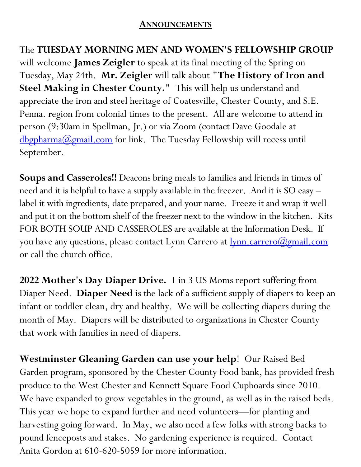#### **ANNOUNCEMENTS**

The **TUESDAY MORNING MEN AND WOMEN'S FELLOWSHIP GROUP** will welcome **James Zeigler** to speak at its final meeting of the Spring on Tuesday, May 24th. **Mr. Zeigler** will talk about **"The History of Iron and Steel Making in Chester County."** This will help us understand and appreciate the iron and steel heritage of Coatesville, Chester County, and S.E. Penna. region from colonial times to the present. All are welcome to attend in person (9:30am in Spellman, Jr.) or via Zoom (contact Dave Goodale at [dbgpharma@gmail.com](mailto:dbgpharma@gmail.com) for link. The Tuesday Fellowship will recess until September.

**Soups and Casseroles!!** Deacons bring meals to families and friends in times of need and it is helpful to have a supply available in the freezer. And it is SO easy – label it with ingredients, date prepared, and your name. Freeze it and wrap it well and put it on the bottom shelf of the freezer next to the window in the kitchen. Kits FOR BOTH SOUP AND CASSEROLES are available at the Information Desk. If you have any questions, please contact Lynn Carrero at <u>lynn.carrero</u>(*a*)*gmail.com* or call the church office.

**2022 Mother's Day Diaper Drive.** 1 in 3 US Moms report suffering from Diaper Need. **Diaper Need** is the lack of a sufficient supply of diapers to keep an infant or toddler clean, dry and healthy. We will be collecting diapers during the month of May. Diapers will be distributed to organizations in Chester County that work with families in need of diapers.

**Westminster Gleaning Garden can use your help**! Our Raised Bed Garden program, sponsored by the Chester County Food bank, has provided fresh produce to the West Chester and Kennett Square Food Cupboards since 2010. We have expanded to grow vegetables in the ground, as well as in the raised beds. This year we hope to expand further and need volunteers—for planting and harvesting going forward. In May, we also need a few folks with strong backs to pound fenceposts and stakes.No gardening experience is required. Contact Anita Gordon at 610-620-5059 for more information.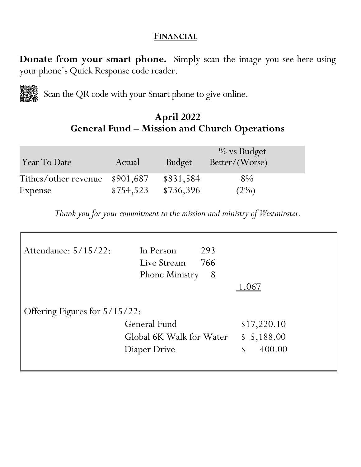#### **FINANCIAL**

**Donate from your smart phone.** Simply scan the image you see here using your phone's Quick Response code reader.

Scan the QR code with your Smart phone to give online. 下游游<br>冷淡的

## **April 2022 General Fund – Mission and Church Operations**

| Year To Date                   | Actual    | <b>Budget</b> | $\%$ vs Budget<br>Better/(Worse) |  |
|--------------------------------|-----------|---------------|----------------------------------|--|
| Tithes/other revenue \$901,687 |           | \$831,584     | $8\%$                            |  |
| Expense                        | \$754,523 | \$736,396     | $(2\%)$                          |  |

*Thank you for your commitment to the mission and ministry of Westminster.*

| Attendance: 5/15/22:          | In Person<br>Live Stream<br><b>Phone Ministry</b> | 293<br>766<br>8 |            |  |  |  |  |
|-------------------------------|---------------------------------------------------|-----------------|------------|--|--|--|--|
|                               |                                                   |                 | 167        |  |  |  |  |
| Offering Figures for 5/15/22: |                                                   |                 |            |  |  |  |  |
|                               | <b>General Fund</b>                               |                 |            |  |  |  |  |
|                               | Global 6K Walk for Water                          |                 | \$5,188.00 |  |  |  |  |
|                               | Diaper Drive                                      |                 |            |  |  |  |  |
|                               |                                                   |                 |            |  |  |  |  |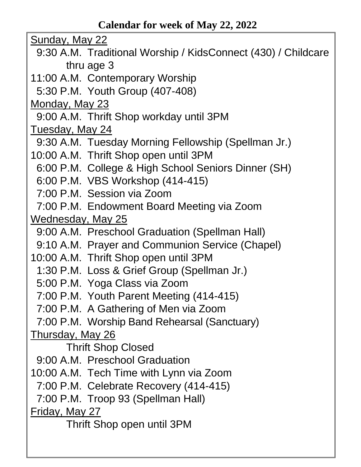Sunday, May 22

- 9:30 A.M. Traditional Worship / KidsConnect (430) / Childcare thru age 3
- 11:00 A.M. Contemporary Worship
- 5:30 P.M. Youth Group (407-408)

Monday, May 23

9:00 A.M. Thrift Shop workday until 3PM

Tuesday, May 24

- 9:30 A.M. Tuesday Morning Fellowship (Spellman Jr.)
- 10:00 A.M. Thrift Shop open until 3PM
- 6:00 P.M. College & High School Seniors Dinner (SH)
- 6:00 P.M. VBS Workshop (414-415)
- 7:00 P.M. Session via Zoom
- 7:00 P.M. Endowment Board Meeting via Zoom

Wednesday, May 25

- 9:00 A.M. Preschool Graduation (Spellman Hall)
- 9:10 A.M. Prayer and Communion Service (Chapel)
- 10:00 A.M. Thrift Shop open until 3PM
	- 1:30 P.M. Loss & Grief Group (Spellman Jr.)
	- 5:00 P.M. Yoga Class via Zoom
	- 7:00 P.M. Youth Parent Meeting (414-415)
- 7:00 P.M. A Gathering of Men via Zoom
- 7:00 P.M. Worship Band Rehearsal (Sanctuary)

Thursday, May 26

Thrift Shop Closed

- 9:00 A.M. Preschool Graduation
- 10:00 A.M. Tech Time with Lynn via Zoom
- 7:00 P.M. Celebrate Recovery (414-415)
- 7:00 P.M. Troop 93 (Spellman Hall)

Friday, May 27

Thrift Shop open until 3PM